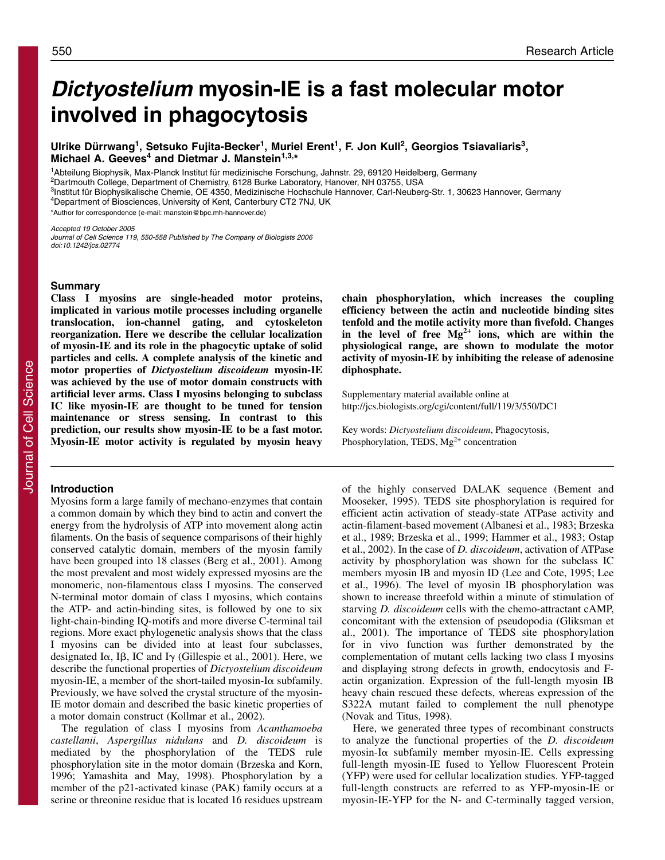# **Dictyostelium myosin-IE is a fast molecular motor involved in phagocytosis**

**Ulrike Dürrwang1, Setsuko Fujita-Becker1, Muriel Erent1, F. Jon Kull2, Georgios Tsiavaliaris3, Michael A. Geeves<sup>4</sup> and Dietmar J. Manstein1,3,\***

1Abteilung Biophysik, Max-Planck Institut für medizinische Forschung, Jahnstr. 29, 69120 Heidelberg, Germany

2Dartmouth College, Department of Chemistry, 6128 Burke Laboratory, Hanover, NH 03755, USA

<sup>3</sup>Institut für Biophysikalische Chemie, OE 4350, Medizinische Hochschule Hannover, Carl-Neuberg-Str. 1, 30623 Hannover, Germany 4Department of Biosciences, University of Kent, Canterbury CT2 7NJ, UK

\*Author for correspondence (e-mail: manstein@bpc.mh-hannover.de)

Accepted 19 October 2005 Journal of Cell Science 119, 550-558 Published by The Company of Biologists 2006 doi:10.1242/jcs.02774

**Class I myosins are single-headed motor proteins, implicated in various motile processes including organelle translocation, ion-channel gating, and cytoskeleton reorganization. Here we describe the cellular localization of myosin-IE and its role in the phagocytic uptake of solid particles and cells. A complete analysis of the kinetic and motor properties of** *Dictyostelium discoideum* **myosin-IE was achieved by the use of motor domain constructs with artificial lever arms. Class I myosins belonging to subclass IC like myosin-IE are thought to be tuned for tension maintenance or stress sensing. In contrast to this prediction, our results show myosin-IE to be a fast motor. Myosin-IE motor activity is regulated by myosin heavy**

# **Introduction**

Myosins form a large family of mechano-enzymes that contain a common domain by which they bind to actin and convert the energy from the hydrolysis of ATP into movement along actin filaments. On the basis of sequence comparisons of their highly conserved catalytic domain, members of the myosin family have been grouped into 18 classes (Berg et al., 2001). Among the most prevalent and most widely expressed myosins are the monomeric, non-filamentous class I myosins. The conserved N-terminal motor domain of class I myosins, which contains the ATP- and actin-binding sites, is followed by one to six light-chain-binding IQ-motifs and more diverse C-terminal tail regions. More exact phylogenetic analysis shows that the class I myosins can be divided into at least four subclasses, designated I $\alpha$ , I $\beta$ , IC and I $\gamma$  (Gillespie et al., 2001). Here, we describe the functional properties of *Dictyostelium discoideum* myosin-IE, a member of the short-tailed myosin-I $\alpha$  subfamily. Previously, we have solved the crystal structure of the myosin-IE motor domain and described the basic kinetic properties of a motor domain construct (Kollmar et al., 2002).

The regulation of class I myosins from *Acanthamoeba castellanii*, *Aspergillus nidulans* and *D. discoideum* is mediated by the phosphorylation of the TEDS rule phosphorylation site in the motor domain (Brzeska and Korn, 1996; Yamashita and May, 1998). Phosphorylation by a member of the p21-activated kinase (PAK) family occurs at a serine or threonine residue that is located 16 residues upstream **chain phosphorylation, which increases the coupling efficiency between the actin and nucleotide binding sites tenfold and the motile activity more than fivefold. Changes in the level of free Mg2+ ions, which are within the physiological range, are shown to modulate the motor activity of myosin-IE by inhibiting the release of adenosine diphosphate.**

Supplementary material available online at http://jcs.biologists.org/cgi/content/full/119/3/550/DC1

Key words: *Dictyostelium discoideum*, Phagocytosis, Phosphorylation, TEDS,  $Mg^{2+}$  concentration

of the highly conserved DALAK sequence (Bement and Mooseker, 1995). TEDS site phosphorylation is required for efficient actin activation of steady-state ATPase activity and actin-filament-based movement (Albanesi et al., 1983; Brzeska et al., 1989; Brzeska et al., 1999; Hammer et al., 1983; Ostap et al., 2002). In the case of *D. discoideum*, activation of ATPase activity by phosphorylation was shown for the subclass IC members myosin IB and myosin ID (Lee and Cote, 1995; Lee et al., 1996). The level of myosin IB phosphorylation was shown to increase threefold within a minute of stimulation of starving *D. discoideum* cells with the chemo-attractant cAMP, concomitant with the extension of pseudopodia (Gliksman et al., 2001). The importance of TEDS site phosphorylation for in vivo function was further demonstrated by the complementation of mutant cells lacking two class I myosins and displaying strong defects in growth, endocytosis and Factin organization. Expression of the full-length myosin IB heavy chain rescued these defects, whereas expression of the S322A mutant failed to complement the null phenotype (Novak and Titus, 1998).

Here, we generated three types of recombinant constructs to analyze the functional properties of the *D. discoideum* myosin-I $\alpha$  subfamily member myosin-IE. Cells expressing full-length myosin-IE fused to Yellow Fluorescent Protein (YFP) were used for cellular localization studies. YFP-tagged full-length constructs are referred to as YFP-myosin-IE or myosin-IE-YFP for the N- and C-terminally tagged version,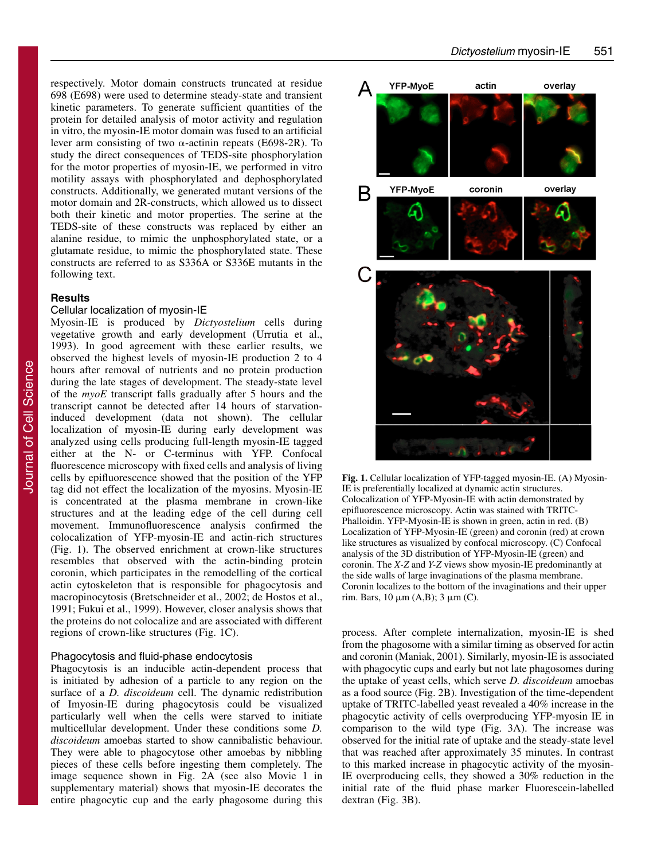respectively. Motor domain constructs truncated at residue 698 (E698) were used to determine steady-state and transient kinetic parameters. To generate sufficient quantities of the protein for detailed analysis of motor activity and regulation in vitro, the myosin-IE motor domain was fused to an artificial lever arm consisting of two  $\alpha$ -actinin repeats (E698-2R). To study the direct consequences of TEDS-site phosphorylation for the motor properties of myosin-IE, we performed in vitro motility assays with phosphorylated and dephosphorylated constructs. Additionally, we generated mutant versions of the motor domain and 2R-constructs, which allowed us to dissect both their kinetic and motor properties. The serine at the TEDS-site of these constructs was replaced by either an alanine residue, to mimic the unphosphorylated state, or a glutamate residue, to mimic the phosphorylated state. These constructs are referred to as S336A or S336E mutants in the following text.

### **Results**

# Cellular localization of myosin-IE

Myosin-IE is produced by *Dictyostelium* cells during vegetative growth and early development (Urrutia et al., 1993). In good agreement with these earlier results, we observed the highest levels of myosin-IE production 2 to 4 hours after removal of nutrients and no protein production during the late stages of development. The steady-state level of the *myoE* transcript falls gradually after 5 hours and the transcript cannot be detected after 14 hours of starvationinduced development (data not shown). The cellular localization of myosin-IE during early development was analyzed using cells producing full-length myosin-IE tagged either at the N- or C-terminus with YFP. Confocal fluorescence microscopy with fixed cells and analysis of living cells by epifluorescence showed that the position of the YFP tag did not effect the localization of the myosins. Myosin-IE is concentrated at the plasma membrane in crown-like structures and at the leading edge of the cell during cell movement. Immunofluorescence analysis confirmed the colocalization of YFP-myosin-IE and actin-rich structures (Fig. 1). The observed enrichment at crown-like structures resembles that observed with the actin-binding protein coronin, which participates in the remodelling of the cortical actin cytoskeleton that is responsible for phagocytosis and macropinocytosis (Bretschneider et al., 2002; de Hostos et al., 1991; Fukui et al., 1999). However, closer analysis shows that the proteins do not colocalize and are associated with different regions of crown-like structures (Fig. 1C).

# Phagocytosis and fluid-phase endocytosis

Phagocytosis is an inducible actin-dependent process that is initiated by adhesion of a particle to any region on the surface of a *D. discoideum* cell. The dynamic redistribution of Imyosin-IE during phagocytosis could be visualized particularly well when the cells were starved to initiate multicellular development. Under these conditions some *D. discoideum* amoebas started to show cannibalistic behaviour. They were able to phagocytose other amoebas by nibbling pieces of these cells before ingesting them completely. The image sequence shown in Fig. 2A (see also Movie 1 in supplementary material) shows that myosin-IE decorates the entire phagocytic cup and the early phagosome during this



**Fig. 1.** Cellular localization of YFP-tagged myosin-IE. (A) Myosin-IE is preferentially localized at dynamic actin structures. Colocalization of YFP-Myosin-IE with actin demonstrated by epifluorescence microscopy. Actin was stained with TRITC-Phalloidin. YFP-Myosin-IE is shown in green, actin in red. (B) Localization of YFP-Myosin-IE (green) and coronin (red) at crown like structures as visualized by confocal microscopy. (C) Confocal analysis of the 3D distribution of YFP-Myosin-IE (green) and coronin. The *X-Z* and *Y-Z* views show myosin-IE predominantly at the side walls of large invaginations of the plasma membrane. Coronin localizes to the bottom of the invaginations and their upper rim. Bars,  $10 \mu m(A,B)$ ;  $3 \mu m(C)$ .

process. After complete internalization, myosin-IE is shed from the phagosome with a similar timing as observed for actin and coronin (Maniak, 2001). Similarly, myosin-IE is associated with phagocytic cups and early but not late phagosomes during the uptake of yeast cells, which serve *D. discoideum* amoebas as a food source (Fig. 2B). Investigation of the time-dependent uptake of TRITC-labelled yeast revealed a 40% increase in the phagocytic activity of cells overproducing YFP-myosin IE in comparison to the wild type (Fig. 3A). The increase was observed for the initial rate of uptake and the steady-state level that was reached after approximately 35 minutes. In contrast to this marked increase in phagocytic activity of the myosin-IE overproducing cells, they showed a 30% reduction in the initial rate of the fluid phase marker Fluorescein-labelled dextran (Fig. 3B).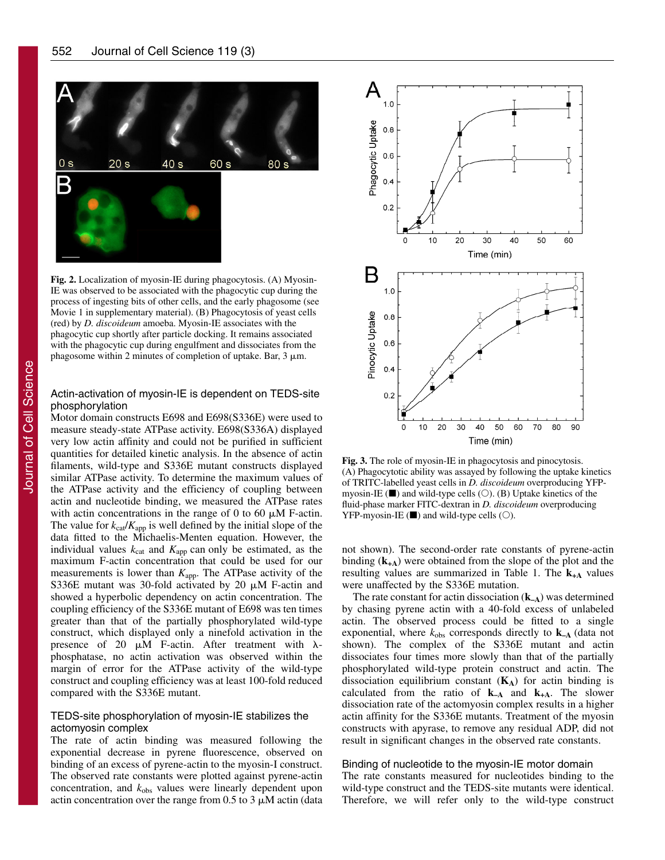

**Fig. 2.** Localization of myosin-IE during phagocytosis. (A) Myosin-IE was observed to be associated with the phagocytic cup during the process of ingesting bits of other cells, and the early phagosome (see Movie 1 in supplementary material). (B) Phagocytosis of yeast cells (red) by *D. discoideum* amoeba. Myosin-IE associates with the phagocytic cup shortly after particle docking. It remains associated with the phagocytic cup during engulfment and dissociates from the phagosome within 2 minutes of completion of uptake. Bar,  $3 \mu m$ .

# Actin-activation of myosin-IE is dependent on TEDS-site phosphorylation

Motor domain constructs E698 and E698(S336E) were used to measure steady-state ATPase activity. E698(S336A) displayed very low actin affinity and could not be purified in sufficient quantities for detailed kinetic analysis. In the absence of actin filaments, wild-type and S336E mutant constructs displayed similar ATPase activity. To determine the maximum values of the ATPase activity and the efficiency of coupling between actin and nucleotide binding, we measured the ATPase rates with actin concentrations in the range of 0 to 60  $\mu$ M F-actin. The value for  $k_{cat}/K_{app}$  is well defined by the initial slope of the data fitted to the Michaelis-Menten equation. However, the individual values  $k_{\text{cat}}$  and  $K_{\text{app}}$  can only be estimated, as the maximum F-actin concentration that could be used for our measurements is lower than  $K_{\text{app}}$ . The ATPase activity of the S336E mutant was 30-fold activated by 20  $\mu$ M F-actin and showed a hyperbolic dependency on actin concentration. The coupling efficiency of the S336E mutant of E698 was ten times greater than that of the partially phosphorylated wild-type construct, which displayed only a ninefold activation in the presence of 20  $\mu$ M F-actin. After treatment with  $\lambda$ phosphatase, no actin activation was observed within the margin of error for the ATPase activity of the wild-type construct and coupling efficiency was at least 100-fold reduced compared with the S336E mutant.

# TEDS-site phosphorylation of myosin-IE stabilizes the actomyosin complex

The rate of actin binding was measured following the exponential decrease in pyrene fluorescence, observed on binding of an excess of pyrene-actin to the myosin-I construct. The observed rate constants were plotted against pyrene-actin concentration, and  $k_{obs}$  values were linearly dependent upon actin concentration over the range from  $0.5$  to  $3 \mu$ M actin (data



**Fig. 3.** The role of myosin-IE in phagocytosis and pinocytosis. (A) Phagocytotic ability was assayed by following the uptake kinetics of TRITC-labelled yeast cells in *D. discoideum* overproducing YFPmyosin-IE  $(\blacksquare)$  and wild-type cells  $(\bigcirc)$ . (B) Uptake kinetics of the fluid-phase marker FITC-dextran in *D. discoideum* overproducing  $YFP-myosin-IE$  ( $\blacksquare$ ) and wild-type cells ( $\bigcirc$ ).

not shown). The second-order rate constants of pyrene-actin binding (**k+A**) were obtained from the slope of the plot and the resulting values are summarized in Table 1. The  $k_{+A}$  values were unaffected by the S336E mutation.

The rate constant for actin dissociation (**k–A**) was determined by chasing pyrene actin with a 40-fold excess of unlabeled actin. The observed process could be fitted to a single exponential, where  $k_{obs}$  corresponds directly to  $k_{-A}$  (data not shown). The complex of the S336E mutant and actin dissociates four times more slowly than that of the partially phosphorylated wild-type protein construct and actin. The dissociation equilibrium constant  $(K_A)$  for actin binding is calculated from the ratio of  $k_{-A}$  and  $k_{+A}$ . The slower dissociation rate of the actomyosin complex results in a higher actin affinity for the S336E mutants. Treatment of the myosin constructs with apyrase, to remove any residual ADP, did not result in significant changes in the observed rate constants.

### Binding of nucleotide to the myosin-IE motor domain

The rate constants measured for nucleotides binding to the wild-type construct and the TEDS-site mutants were identical. Therefore, we will refer only to the wild-type construct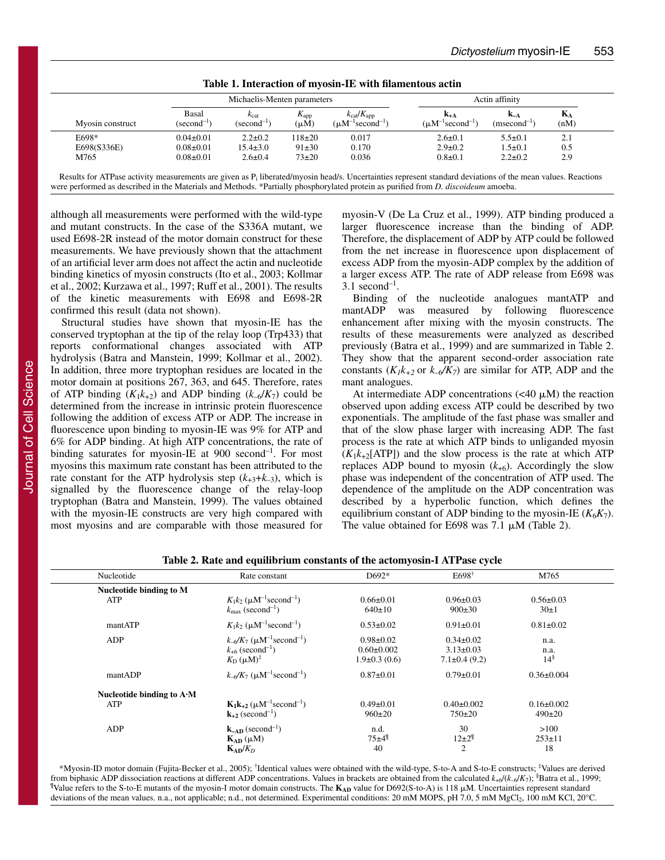|                  |                                 | Michaelis-Menten parameters         |                                  |                                                                         | Actin affinity                                   |                  |               |
|------------------|---------------------------------|-------------------------------------|----------------------------------|-------------------------------------------------------------------------|--------------------------------------------------|------------------|---------------|
| Myosin construct | Basal<br>$(\text{second}^{-1})$ | $k_{\text{cat}}$<br>$(second^{-1})$ | $\Lambda_{\rm app}$<br>$(\mu M)$ | $k_{\text{cat}}/K_{\text{app}}$<br>$(\mu M^{-1}$ second <sup>-1</sup> ) | $K_{+A}$<br>$(\mu M^{-1}$ second <sup>-1</sup> ) | $(msecond^{-1})$ | $K_A$<br>(nM) |
| E698*            | $0.04 \pm 0.01$                 | $2.2 \pm 0.2$                       | $118+20$                         | 0.017                                                                   | $2.6 \pm 0.1$                                    | $5.5 \pm 0.1$    | 2.1           |
| E698(S336E)      | $0.08 \pm 0.01$                 | $15.4 \pm 3.0$                      | $91 \pm 30$                      | 0.170                                                                   | $2.9 \pm 0.2$                                    | $1.5 \pm 0.1$    | 0.5           |
| M765             | $0.08 \pm 0.01$                 | $2.6 \pm 0.4$                       | $73 + 20$                        | 0.036                                                                   | $0.8 \pm 0.1$                                    | $2.2 \pm 0.2$    | 2.9           |

**Table 1. Interaction of myosin-IE with filamentous actin**

Results for ATPase activity measurements are given as  $P_i$  liberated/myosin head/s. Uncertainties represent standard deviations of the mean values. Reactions were performed as described in the Materials and Methods. \*Partially phosphorylated protein as purified from *D. discoideum* amoeba.

although all measurements were performed with the wild-type and mutant constructs. In the case of the S336A mutant, we used E698-2R instead of the motor domain construct for these measurements. We have previously shown that the attachment of an artificial lever arm does not affect the actin and nucleotide binding kinetics of myosin constructs (Ito et al., 2003; Kollmar et al., 2002; Kurzawa et al., 1997; Ruff et al., 2001). The results of the kinetic measurements with E698 and E698-2R confirmed this result (data not shown).

Structural studies have shown that myosin-IE has the conserved tryptophan at the tip of the relay loop (Trp433) that reports conformational changes associated with ATP hydrolysis (Batra and Manstein, 1999; Kollmar et al., 2002). In addition, three more tryptophan residues are located in the motor domain at positions 267, 363, and 645. Therefore, rates of ATP binding  $(K_1k_{+2})$  and ADP binding  $(k_{-6}/K_7)$  could be determined from the increase in intrinsic protein fluorescence following the addition of excess ATP or ADP. The increase in fluorescence upon binding to myosin-IE was 9% for ATP and 6% for ADP binding. At high ATP concentrations, the rate of binding saturates for myosin-IE at 900 second<sup>-1</sup>. For most myosins this maximum rate constant has been attributed to the rate constant for the ATP hydrolysis step  $(k_{+3}+k_{-3})$ , which is signalled by the fluorescence change of the relay-loop tryptophan (Batra and Manstein, 1999). The values obtained with the myosin-IE constructs are very high compared with most myosins and are comparable with those measured for myosin-V (De La Cruz et al., 1999). ATP binding produced a larger fluorescence increase than the binding of ADP. Therefore, the displacement of ADP by ATP could be followed from the net increase in fluorescence upon displacement of excess ADP from the myosin-ADP complex by the addition of a larger excess ATP. The rate of ADP release from E698 was  $3.1$  second<sup>-1</sup>.

Binding of the nucleotide analogues mantATP and mantADP was measured by following fluorescence enhancement after mixing with the myosin constructs. The results of these measurements were analyzed as described previously (Batra et al., 1999) and are summarized in Table 2. They show that the apparent second-order association rate constants  $(K_1k_{+2}$  or  $k_{-6}/K_7$ ) are similar for ATP, ADP and the mant analogues.

At intermediate ADP concentrations  $( $40 \mu M$ )$  the reaction observed upon adding excess ATP could be described by two exponentials. The amplitude of the fast phase was smaller and that of the slow phase larger with increasing ADP. The fast process is the rate at which ATP binds to unliganded myosin  $(K_1k_{+2}[ATP])$  and the slow process is the rate at which ATP replaces ADP bound to myosin  $(k_{+6})$ . Accordingly the slow phase was independent of the concentration of ATP used. The dependence of the amplitude on the ADP concentration was described by a hyperbolic function, which defines the equilibrium constant of ADP binding to the myosin-IE  $(K_6K_7)$ . The value obtained for E698 was  $7.1 \mu M$  (Table 2).

| Nucleotide                        | Rate constant                                                                                                                          | D692*                                                   | $E698^{\dagger}$                                          | M765                             |  |
|-----------------------------------|----------------------------------------------------------------------------------------------------------------------------------------|---------------------------------------------------------|-----------------------------------------------------------|----------------------------------|--|
| Nucleotide binding to M           |                                                                                                                                        |                                                         |                                                           |                                  |  |
| ATP                               | $K_1k_2$ ( $\mu$ M <sup>-1</sup> second <sup>-1</sup> )<br>$k_{\text{max}}$ (second <sup>-1</sup> )                                    | $0.66 \pm 0.01$<br>640±10                               | $0.96 \pm 0.03$<br>$900 \pm 30$                           | $0.56 \pm 0.03$<br>30±1          |  |
| mantATP                           | $K_1k_2$ ( $\mu$ M <sup>-1</sup> second <sup>-1</sup> )                                                                                | $0.53 \pm 0.02$                                         | $0.91 \pm 0.01$                                           | $0.81 \pm 0.02$                  |  |
| ADP                               | $k_{-6}/K_7$ ( $\mu$ M <sup>-1</sup> second <sup>-1</sup> )<br>$k_{+6}$ (second <sup>-1</sup> )<br>$K_{\rm D}$ ( $\mu$ M) <sup>‡</sup> | $0.98 \pm 0.02$<br>$0.60 \pm 0.002$<br>$1.9\pm0.3(0.6)$ | $0.34 \pm 0.02$<br>$3.13 \pm 0.03$<br>$7.1 \pm 0.4$ (9.2) | n.a.<br>n.a.<br>$14^{\$}$        |  |
| mantADP                           | $k_{-6}/K_7$ ( $\mu$ M <sup>-1</sup> second <sup>-1</sup> )                                                                            | $0.87 \pm 0.01$                                         | $0.79 \pm 0.01$                                           | $0.36 \pm 0.004$                 |  |
| Nucleotide binding to $A \cdot M$ |                                                                                                                                        |                                                         |                                                           |                                  |  |
| ATP                               | $K_1k_{+2}$ ( $\mu$ M <sup>-1</sup> second <sup>-1</sup> )<br>$k_{+2}$ (second <sup>-1</sup> )                                         | $0.49 \pm 0.01$<br>$960 \pm 20$                         | $0.40 \pm 0.002$<br>$750 \pm 20$                          | $0.16 \pm 0.002$<br>$490 \pm 20$ |  |
| ADP                               | $\mathbf{k}_{\text{-AD}}$ (second <sup>-1</sup> )<br>$K_{AD}(\mu M)$<br>$K_{AD}/K_D$                                                   | n.d.<br>$75±4$ <sup>¶</sup><br>40                       | 30<br>$12\pm2^{\frac{9}{2}}$<br>$\overline{2}$            | >100<br>$253 \pm 11$<br>18       |  |

**Table 2. Rate and equilibrium constants of the actomyosin-I ATPase cycle**

\*Myosin-ID motor domain (Fujita-Becker et al., 2005); † Identical values were obtained with the wild-type, S-to-A and S-to-E constructs; ‡ Values are derived from biphasic ADP dissociation reactions at different ADP concentrations. Values in brackets are obtained from the calculated *k*+6/(*k*–6/*K*7); § Batra et al., 1999; <sup>¶</sup>Value refers to the S-to-E mutants of the myosin-I motor domain constructs. The K<sub>AD</sub> value for D692(S-to-A) is 118 μM. Uncertainties represent standard deviations of the mean values. n.a., not applicable; n.d., not determined. Experimental conditions: 20 mM MOPS, pH 7.0, 5 mM MgCl<sub>2</sub>, 100 mM KCl, 20°C.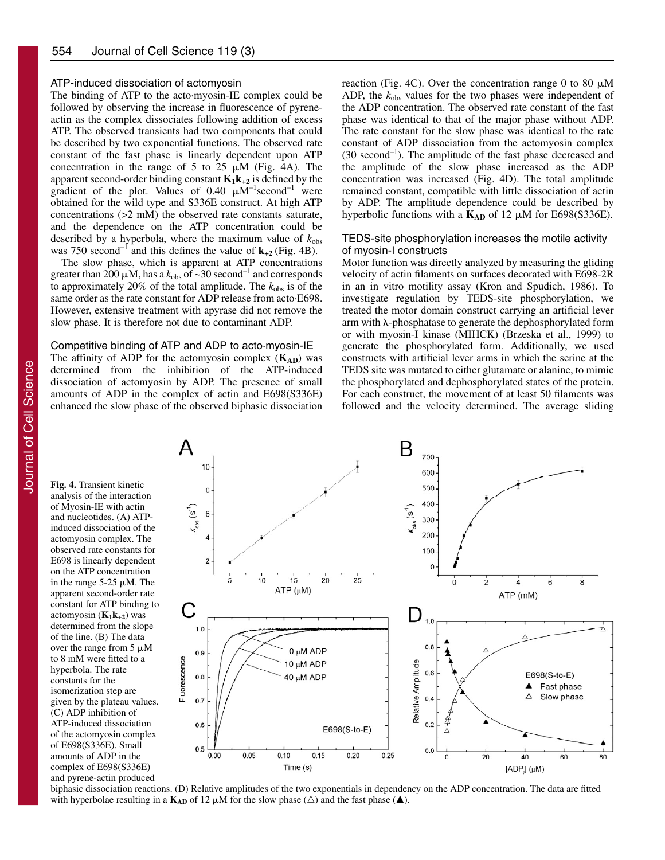# ATP-induced dissociation of actomyosin

The binding of ATP to the acto·myosin-IE complex could be followed by observing the increase in fluorescence of pyreneactin as the complex dissociates following addition of excess ATP. The observed transients had two components that could be described by two exponential functions. The observed rate constant of the fast phase is linearly dependent upon ATP concentration in the range of 5 to 25  $\mu$ M (Fig. 4A). The apparent second-order binding constant  $K_1k_{+2}$  is defined by the gradient of the plot. Values of  $0.40 \mu M^{-1}$ second<sup>-1</sup> were obtained for the wild type and S336E construct. At high ATP concentrations (>2 mM) the observed rate constants saturate, and the dependence on the ATP concentration could be described by a hyperbola, where the maximum value of  $k_{obs}$ was 750 second<sup>-1</sup> and this defines the value of  $\mathbf{k}_{+2}$  (Fig. 4B).

The slow phase, which is apparent at ATP concentrations greater than 200  $\mu$ M, has a  $k_{obs}$  of ~30 second<sup>-1</sup> and corresponds to approximately 20% of the total amplitude. The  $k_{obs}$  is of the same order as the rate constant for ADP release from acto·E698. However, extensive treatment with apyrase did not remove the slow phase. It is therefore not due to contaminant ADP.

# Competitive binding of ATP and ADP to acto·myosin-IE

The affinity of ADP for the actomyosin complex  $(K_{AD})$  was determined from the inhibition of the ATP-induced dissociation of actomyosin by ADP. The presence of small amounts of ADP in the complex of actin and E698(S336E) enhanced the slow phase of the observed biphasic dissociation reaction (Fig. 4C). Over the concentration range 0 to 80  $\mu$ M ADP, the  $k_{obs}$  values for the two phases were independent of the ADP concentration. The observed rate constant of the fast phase was identical to that of the major phase without ADP. The rate constant for the slow phase was identical to the rate constant of ADP dissociation from the actomyosin complex (30 second–1). The amplitude of the fast phase decreased and the amplitude of the slow phase increased as the ADP concentration was increased (Fig. 4D). The total amplitude remained constant, compatible with little dissociation of actin by ADP. The amplitude dependence could be described by hyperbolic functions with a  $K_{AD}$  of 12  $\mu$ M for E698(S336E).

# TEDS-site phosphorylation increases the motile activity of myosin-I constructs

Motor function was directly analyzed by measuring the gliding velocity of actin filaments on surfaces decorated with E698-2R in an in vitro motility assay (Kron and Spudich, 1986). To investigate regulation by TEDS-site phosphorylation, we treated the motor domain construct carrying an artificial lever arm with  $\lambda$ -phosphatase to generate the dephosphorylated form or with myosin-I kinase (MIHCK) (Brzeska et al., 1999) to generate the phosphorylated form. Additionally, we used constructs with artificial lever arms in which the serine at the TEDS site was mutated to either glutamate or alanine, to mimic the phosphorylated and dephosphorylated states of the protein. For each construct, the movement of at least 50 filaments was followed and the velocity determined. The average sliding

**Fig. 4.** Transient kinetic analysis of the interaction of Myosin-IE with actin and nucleotides. (A) ATPinduced dissociation of the actomyosin complex. The observed rate constants for E698 is linearly dependent on the ATP concentration in the range  $5-25 \mu M$ . The apparent second-order rate constant for ATP binding to actomyosin  $(K_1k_{+2})$  was determined from the slope of the line. (B) The data over the range from  $5 \mu M$ to 8 mM were fitted to a hyperbola. The rate constants for the isomerization step are given by the plateau values. (C) ADP inhibition of ATP-induced dissociation of the actomyosin complex of E698(S336E). Small amounts of ADP in the complex of E698(S336E) and pyrene-actin produced



biphasic dissociation reactions. (D) Relative amplitudes of the two exponentials in dependency on the ADP concentration. The data are fitted with hyperbolae resulting in a  $K_{AD}$  of 12  $\mu$ M for the slow phase ( $\triangle$ ) and the fast phase ( $\triangle$ ).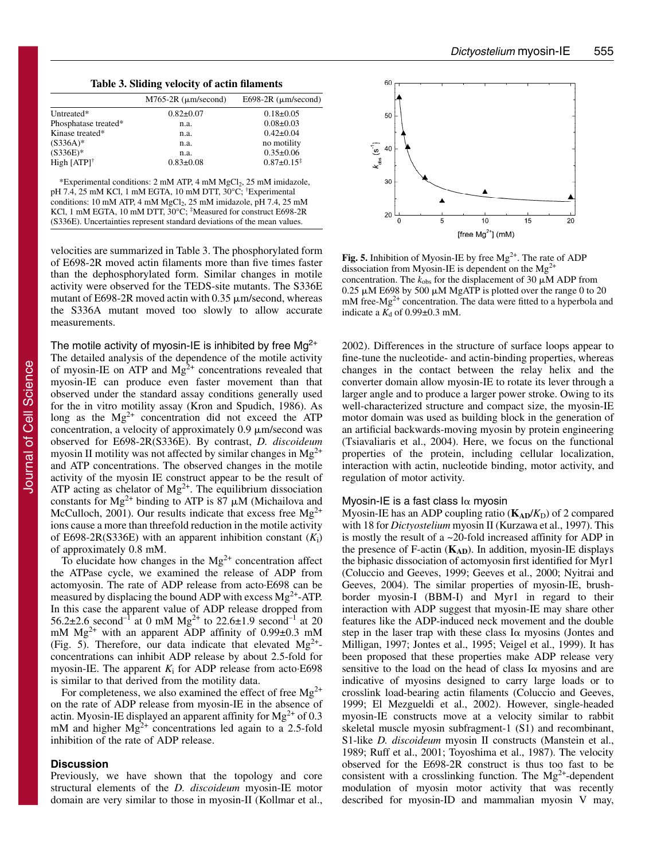|  |  |  |  | Table 3. Sliding velocity of actin filaments |
|--|--|--|--|----------------------------------------------|
|--|--|--|--|----------------------------------------------|

| $M765-2R$ ( $\mu$ m/second) | E698-2R $(\mu m/second)$   |
|-----------------------------|----------------------------|
| $0.82 \pm 0.07$             | $0.18 \pm 0.05$            |
| n.a.                        | $0.08 \pm 0.03$            |
| n.a.                        | $0.42 \pm 0.04$            |
| n.a.                        | no motility                |
| n.a.                        | $0.35 \pm 0.06$            |
| $0.83 \pm 0.08$             | $0.87 \pm 0.15^{\ddagger}$ |
|                             |                            |

\*Experimental conditions: 2 mM ATP, 4 mM MgCl2, 25 mM imidazole, pH 7.4, 25 mM KCl, 1 mM EGTA, 10 mM DTT, 30°C; † Experimental conditions: 10 mM ATP, 4 mM MgCl<sub>2</sub>, 25 mM imidazole, pH 7.4, 25 mM<br>KCl, 1 mM EGTA, 10 mM DTT, 30°C; <sup>‡</sup>Measured for construct E698-2R (S336E). Uncertainties represent standard deviations of the mean values.

velocities are summarized in Table 3. The phosphorylated form of E698-2R moved actin filaments more than five times faster than the dephosphorylated form. Similar changes in motile activity were observed for the TEDS-site mutants. The S336E mutant of E698-2R moved actin with  $0.35 \mu$ m/second, whereas the S336A mutant moved too slowly to allow accurate measurements.

The motile activity of myosin-IE is inhibited by free  $Mg^{2+}$ The detailed analysis of the dependence of the motile activity of myosin-IE on ATP and  $Mg^{2+}$  concentrations revealed that myosin-IE can produce even faster movement than that observed under the standard assay conditions generally used for the in vitro motility assay (Kron and Spudich, 1986). As long as the  $Mg^{2+}$  concentration did not exceed the ATP concentration, a velocity of approximately  $0.9 \mu m/s$ econd was observed for E698-2R(S336E). By contrast, *D. discoideum* myosin II motility was not affected by similar changes in  $Mg^{2+}$ and ATP concentrations. The observed changes in the motile activity of the myosin IE construct appear to be the result of ATP acting as chelator of  $Mg^{2+}$ . The equilibrium dissociation constants for Mg<sup>2+</sup> binding to ATP is  $87 \mu$ M (Michailova and McCulloch, 2001). Our results indicate that excess free  $Mg^{2+}$ ions cause a more than threefold reduction in the motile activity of E698-2R(S336E) with an apparent inhibition constant  $(K_i)$ of approximately 0.8 mM.

To elucidate how changes in the  $Mg^{2+}$  concentration affect the ATPase cycle, we examined the release of ADP from actomyosin. The rate of ADP release from acto·E698 can be measured by displacing the bound ADP with excess  $Mg^{2+}$ -ATP. In this case the apparent value of ADP release dropped from 56.2 $\pm$ 2.6 second<sup>-1</sup> at 0 mM Mg<sup>2+</sup> to 22.6 $\pm$ 1.9 second<sup>-1</sup> at 20 mM Mg2+ with an apparent ADP affinity of 0.99±0.3 mM (Fig. 5). Therefore, our data indicate that elevated  $Mg^{2+}$ concentrations can inhibit ADP release by about 2.5-fold for myosin-IE. The apparent  $K_i$  for ADP release from acto $E698$ is similar to that derived from the motility data.

For completeness, we also examined the effect of free  $Mg^{2+}$ on the rate of ADP release from myosin-IE in the absence of actin. Myosin-IE displayed an apparent affinity for  $Mg^{2+}$  of 0.3 mM and higher  $Mg^{2+}$  concentrations led again to a 2.5-fold inhibition of the rate of ADP release.

## **Discussion**

Previously, we have shown that the topology and core structural elements of the *D. discoideum* myosin-IE motor domain are very similar to those in myosin-II (Kollmar et al.,



Fig. 5. Inhibition of Myosin-IE by free Mg<sup>2+</sup>. The rate of ADP dissociation from Myosin-IE is dependent on the  $Mg<sup>2</sup>$ concentration. The  $k_{obs}$  for the displacement of 30  $\mu \tilde{M}$  ADP from 0.25  $\mu$ M E698 by 500  $\mu$ M MgATP is plotted over the range 0 to 20  $m$  free-Mg<sup>2+</sup> concentration. The data were fitted to a hyperbola and indicate a  $K_d$  of 0.99 $\pm$ 0.3 mM.

2002). Differences in the structure of surface loops appear to fine-tune the nucleotide- and actin-binding properties, whereas changes in the contact between the relay helix and the converter domain allow myosin-IE to rotate its lever through a larger angle and to produce a larger power stroke. Owing to its well-characterized structure and compact size, the myosin-IE motor domain was used as building block in the generation of an artificial backwards-moving myosin by protein engineering (Tsiavaliaris et al., 2004). Here, we focus on the functional properties of the protein, including cellular localization, interaction with actin, nucleotide binding, motor activity, and regulation of motor activity.

## Myosin-IE is a fast class l $\alpha$  myosin

Myosin-IE has an ADP coupling ratio  $(K_{AD}/K_D)$  of 2 compared with 18 for *Dictyostelium* myosin II (Kurzawa et al., 1997). This is mostly the result of a ~20-fold increased affinity for ADP in the presence of F-actin  $(K_{AD})$ . In addition, myosin-IE displays the biphasic dissociation of actomyosin first identified for Myr1 (Coluccio and Geeves, 1999; Geeves et al., 2000; Nyitrai and Geeves, 2004). The similar properties of myosin-IE, brushborder myosin-I (BBM-I) and Myr1 in regard to their interaction with ADP suggest that myosin-IE may share other features like the ADP-induced neck movement and the double step in the laser trap with these class  $I\alpha$  myosins (Jontes and Milligan, 1997; Jontes et al., 1995; Veigel et al., 1999). It has been proposed that these properties make ADP release very sensitive to the load on the head of class  $I\alpha$  myosins and are indicative of myosins designed to carry large loads or to crosslink load-bearing actin filaments (Coluccio and Geeves, 1999; El Mezgueldi et al., 2002). However, single-headed myosin-IE constructs move at a velocity similar to rabbit skeletal muscle myosin subfragment-1 (S1) and recombinant, S1-like *D. discoideum* myosin II constructs (Manstein et al., 1989; Ruff et al., 2001; Toyoshima et al., 1987). The velocity observed for the E698-2R construct is thus too fast to be consistent with a crosslinking function. The  $Mg^{2+}$ -dependent modulation of myosin motor activity that was recently described for myosin-ID and mammalian myosin V may,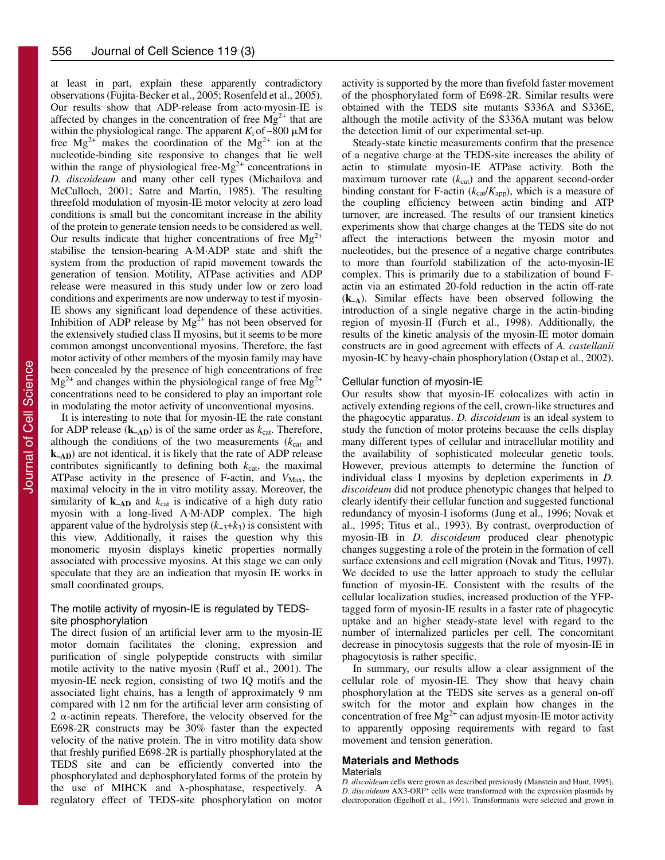at least in part, explain these apparently contradictory observations (Fujita-Becker et al., 2005; Rosenfeld et al., 2005). Our results show that ADP-release from acto·myosin-IE is affected by changes in the concentration of free  $Mg^{2+}$  that are within the physiological range. The apparent  $K_i$  of ~800  $\mu$ M for free  $Mg^{2+}$  makes the coordination of the  $Mg^{2+}$  ion at the nucleotide-binding site responsive to changes that lie well within the range of physiological free- $Mg^{2+}$  concentrations in *D. discoideum* and many other cell types (Michailova and McCulloch, 2001; Satre and Martin, 1985). The resulting threefold modulation of myosin-IE motor velocity at zero load conditions is small but the concomitant increase in the ability of the protein to generate tension needs to be considered as well. Our results indicate that higher concentrations of free  $Mg^{2+}$ stabilise the tension-bearing A·M·ADP state and shift the system from the production of rapid movement towards the generation of tension. Motility, ATPase activities and ADP release were measured in this study under low or zero load conditions and experiments are now underway to test if myosin-IE shows any significant load dependence of these activities. Inhibition of ADP release by  $Mg^{2+}$  has not been observed for the extensively studied class II myosins, but it seems to be more common amongst unconventional myosins. Therefore, the fast motor activity of other members of the myosin family may have been concealed by the presence of high concentrations of free  $Mg^{2+}$  and changes within the physiological range of free  $Mg^{2+}$ concentrations need to be considered to play an important role in modulating the motor activity of unconventional myosins.

It is interesting to note that for myosin-IE the rate constant for ADP release  $(k_{AD})$  is of the same order as  $k_{cat}$ . Therefore, although the conditions of the two measurements  $(k<sub>cat</sub>$  and **k–AD**) are not identical, it is likely that the rate of ADP release contributes significantly to defining both  $k_{cat}$ , the maximal ATPase activity in the presence of F-actin, and  $V_{\text{Max}}$ , the maximal velocity in the in vitro motility assay. Moreover, the similarity of  $k_{-AD}$  and  $k_{cat}$  is indicative of a high duty ratio myosin with a long-lived A·M·ADP complex. The high apparent value of the hydrolysis step  $(k_{+3}+k_3)$  is consistent with this view. Additionally, it raises the question why this monomeric myosin displays kinetic properties normally associated with processive myosins. At this stage we can only speculate that they are an indication that myosin IE works in small coordinated groups.

# The motile activity of myosin-IE is regulated by TEDSsite phosphorylation

The direct fusion of an artificial lever arm to the myosin-IE motor domain facilitates the cloning, expression and purification of single polypeptide constructs with similar motile activity to the native myosin (Ruff et al., 2001). The myosin-IE neck region, consisting of two IQ motifs and the associated light chains, has a length of approximately 9 nm compared with 12 nm for the artificial lever arm consisting of  $2 \alpha$ -actinin repeats. Therefore, the velocity observed for the E698-2R constructs may be 30% faster than the expected velocity of the native protein. The in vitro motility data show that freshly purified E698-2R is partially phosphorylated at the TEDS site and can be efficiently converted into the phosphorylated and dephosphorylated forms of the protein by the use of MIHCK and  $\lambda$ -phosphatase, respectively. A regulatory effect of TEDS-site phosphorylation on motor

activity is supported by the more than fivefold faster movement of the phosphorylated form of E698-2R. Similar results were obtained with the TEDS site mutants S336A and S336E, although the motile activity of the S336A mutant was below the detection limit of our experimental set-up.

Steady-state kinetic measurements confirm that the presence of a negative charge at the TEDS-site increases the ability of actin to stimulate myosin-IE ATPase activity. Both the maximum turnover rate  $(k_{cat})$  and the apparent second-order binding constant for F-actin  $(k_{cat}/K_{app})$ , which is a measure of the coupling efficiency between actin binding and ATP turnover, are increased. The results of our transient kinetics experiments show that charge changes at the TEDS site do not affect the interactions between the myosin motor and nucleotides, but the presence of a negative charge contributes to more than fourfold stabilization of the acto·myosin-IE complex. This is primarily due to a stabilization of bound Factin via an estimated 20-fold reduction in the actin off-rate (**k–A**). Similar effects have been observed following the introduction of a single negative charge in the actin-binding region of myosin-II (Furch et al., 1998). Additionally, the results of the kinetic analysis of the myosin-IE motor domain constructs are in good agreement with effects of *A. castellanii* myosin-IC by heavy-chain phosphorylation (Ostap et al., 2002).

## Cellular function of myosin-IE

Our results show that myosin-IE colocalizes with actin in actively extending regions of the cell, crown-like structures and the phagocytic apparatus. *D. discoideum* is an ideal system to study the function of motor proteins because the cells display many different types of cellular and intracellular motility and the availability of sophisticated molecular genetic tools. However, previous attempts to determine the function of individual class I myosins by depletion experiments in *D. discoideum* did not produce phenotypic changes that helped to clearly identify their cellular function and suggested functional redundancy of myosin-I isoforms (Jung et al., 1996; Novak et al., 1995; Titus et al., 1993). By contrast, overproduction of myosin-IB in *D. discoideum* produced clear phenotypic changes suggesting a role of the protein in the formation of cell surface extensions and cell migration (Novak and Titus, 1997). We decided to use the latter approach to study the cellular function of myosin-IE. Consistent with the results of the cellular localization studies, increased production of the YFPtagged form of myosin-IE results in a faster rate of phagocytic uptake and an higher steady-state level with regard to the number of internalized particles per cell. The concomitant decrease in pinocytosis suggests that the role of myosin-IE in phagocytosis is rather specific.

In summary, our results allow a clear assignment of the cellular role of myosin-IE. They show that heavy chain phosphorylation at the TEDS site serves as a general on-off switch for the motor and explain how changes in the concentration of free  $Mg^{2+}$  can adjust myosin-IE motor activity to apparently opposing requirements with regard to fast movement and tension generation.

# **Materials and Methods**

#### **Materials**

*D. discoideum* cells were grown as described previously (Manstein and Hunt, 1995). *D. discoideum* AX3-ORF<sup>+</sup> cells were transformed with the expression plasmids by electroporation (Egelhoff et al., 1991). Transformants were selected and grown in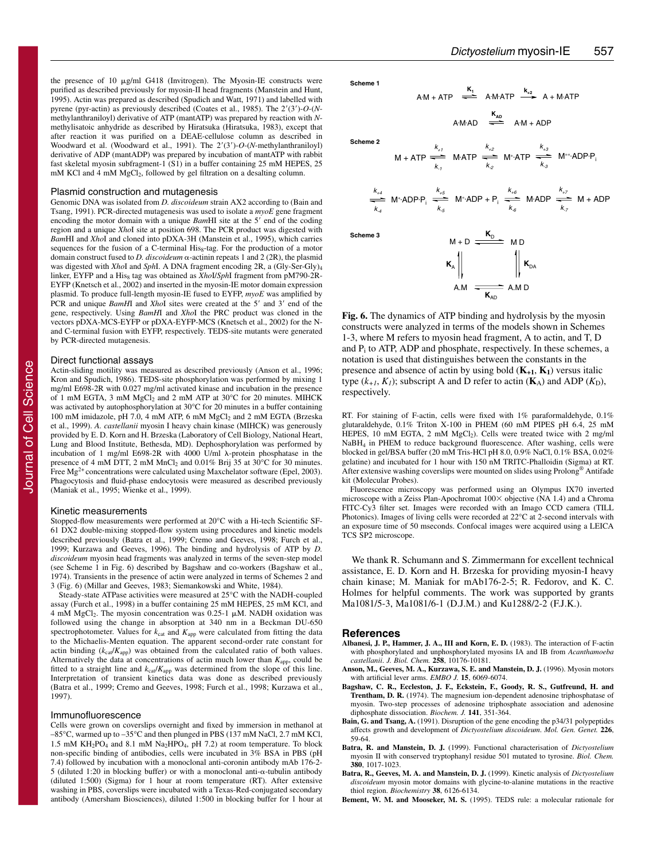the presence of 10  $\mu$ g/ml G418 (Invitrogen). The Myosin-IE constructs were purified as described previously for myosin-II head fragments (Manstein and Hunt, 1995). Actin was prepared as described (Spudich and Watt, 1971) and labelled with pyrene (pyr-actin) as previously described (Coates et al., 1985). The 2'(3')-O-(*N*methylanthraniloyl) derivative of ATP (mantATP) was prepared by reaction with *N*methylisatoic anhydride as described by Hiratsuka (Hiratsuka, 1983), except that after reaction it was purified on a DEAE-cellulose column as described in Woodward et al. (Woodward et al., 1991). The  $2'(3')$ -O-(*N*-methylanthraniloyl) derivative of ADP (mantADP) was prepared by incubation of mantATP with rabbit fast skeletal myosin subfragment-1 (S1) in a buffer containing 25 mM HEPES, 25 mM KCl and 4 mM MgCl<sub>2</sub>, followed by gel filtration on a desalting column.

#### Plasmid construction and mutagenesis

Genomic DNA was isolated from *D. discoideum* strain AX2 according to (Bain and Tsang, 1991). PCR-directed mutagenesis was used to isolate a *myoE* gene fragment encoding the motor domain with a unique *BamHI* site at the 5' end of the coding region and a unique *Xho*I site at position 698. The PCR product was digested with *Bam*HI and *Xho*I and cloned into pDXA-3H (Manstein et al., 1995), which carries sequences for the fusion of a C-terminal His<sub>8</sub>-tag. For the production of a motor domain construct fused to *D. discoideum*  $\alpha$ -actinin repeats 1 and 2 (2R), the plasmid was digested with *Xho*I and *Sph*I. A DNA fragment encoding 2R, a (Gly-Ser-Gly)4 linker, EYFP and a His<sub>8</sub> tag was obtained as *XhoI/SphI* fragment from pM790-2R-EYFP (Knetsch et al., 2002) and inserted in the myosin-IE motor domain expression plasmid. To produce full-length myosin-IE fused to EYFP, *myoE* was amplified by PCR and unique *BamHI* and *XhoI* sites were created at the 5' and 3' end of the gene, respectively. Using *BamH*I and *Xho*I the PRC product was cloned in the vectors pDXA-MCS-EYFP or pDXA-EYFP-MCS (Knetsch et al., 2002) for the Nand C-terminal fusion with EYFP, respectively. TEDS-site mutants were generated by PCR-directed mutagenesis.

#### Direct functional assays

Actin-sliding motility was measured as described previously (Anson et al., 1996; Kron and Spudich, 1986). TEDS-site phosphorylation was performed by mixing 1 mg/ml E698-2R with 0.027 mg/ml activated kinase and incubation in the presence of 1 mM EGTA, 3 mM MgCl<sub>2</sub> and 2 mM ATP at 30°C for 20 minutes. MIHCK was activated by autophosphorylation at 30°C for 20 minutes in a buffer containing 100 mM imidazole, pH 7.0, 4 mM ATP, 6 mM MgCl<sub>2</sub> and 2 mM EGTA (Brzeska et al., 1999). *A. castellanii* myosin I heavy chain kinase (MIHCK) was generously provided by E. D. Korn and H. Brzeska (Laboratory of Cell Biology, National Heart, Lung and Blood Institute, Bethesda, MD). Dephosphorylation was performed by incubation of 1 mg/ml E698-2R with 4000  $\hat{U}/m\hat{I}$   $\lambda$ -protein phosphatase in the presence of 4 mM DTT, 2 mM MnCl<sub>2</sub> and 0.01% Brij  $35$  at  $30^{\circ}$ C for 30 minutes. Free  $Mg^{2+}$  concentrations were calculated using Maxchelator software (Epel, 2003). Phagocytosis and fluid-phase endocytosis were measured as described previously (Maniak et al., 1995; Wienke et al., 1999).

#### Kinetic measurements

Stopped-flow measurements were performed at 20°C with a Hi-tech Scientific SF-61 DX2 double-mixing stopped-flow system using procedures and kinetic models described previously (Batra et al., 1999; Cremo and Geeves, 1998; Furch et al., 1999; Kurzawa and Geeves, 1996). The binding and hydrolysis of ATP by *D. discoideum* myosin head fragments was analyzed in terms of the seven-step model (see Scheme 1 in Fig. 6) described by Bagshaw and co-workers (Bagshaw et al., 1974). Transients in the presence of actin were analyzed in terms of Schemes 2 and 3 (Fig. 6) (Millar and Geeves, 1983; Siemankowski and White, 1984).

Steady-state ATPase activities were measured at 25°C with the NADH-coupled assay (Furch et al., 1998) in a buffer containing 25 mM HEPES, 25 mM KCl, and 4 mM MgCl<sub>2</sub>. The myosin concentration was 0.25-1  $\mu$ M. NADH oxidation was followed using the change in absorption at 340 nm in a Beckman DU-650 spectrophotometer. Values for  $k_{\text{cat}}$  and  $K_{\text{app}}$  were calculated from fitting the data to the Michaelis-Menten equation. The apparent second-order rate constant for actin binding  $(k_{\text{ca}}/K_{\text{app}})$  was obtained from the calculated ratio of both values. Alternatively the data at concentrations of actin much lower than  $K_{app}$ , could be fitted to a straight line and  $k_{\text{cal}}/K_{\text{app}}$  was determined from the slope of this line. Interpretation of transient kinetics data was done as described previously (Batra et al., 1999; Cremo and Geeves, 1998; Furch et al., 1998; Kurzawa et al., 1997).

#### Immunofluorescence

Cells were grown on coverslips overnight and fixed by immersion in methanol at –85°C, warmed up to –35°C and then plunged in PBS (137 mM NaCl, 2.7 mM KCl, 1.5 mM KH2PO4 and 8.1 mM Na2HPO4, pH 7.2) at room temperature. To block non-specific binding of antibodies, cells were incubated in 3% BSA in PBS (pH 7.4) followed by incubation with a monoclonal anti-coronin antibody mAb 176-2-  $5$  (diluted 1:20 in blocking buffer) or with a monoclonal anti- $\alpha$ -tubulin antibody (diluted 1:500) (Sigma) for 1 hour at room temperature (RT). After extensive washing in PBS, coverslips were incubated with a Texas-Red-conjugated secondary antibody (Amersham Biosciences), diluted 1:500 in blocking buffer for 1 hour at **Scheme 1** 

**Scheme 2** 

$$
M + ATP \stackrel{k_{+1}}{\overbrace{\phantom{a}\mathbf{k_{+}}}^{k_{+1}}} \text{ M-ATP} \stackrel{k_{+2}}{\overbrace{\phantom{a}\mathbf{k_{-2}}}^{k_{-2}}} \text{ M}^{\circ}\text{-ATP} \stackrel{k_{+3}}{\overbrace{\phantom{a}\mathbf{k_{-3}}}^{k_{-3}}} \text{ M}^{\circ\circ}\text{-ADP-P}_{i}
$$

A**.** M**.**

 $A \cdot M + A \cdot T$   $\overset{\mathbf{K}_1}{\longrightarrow}$   $A \cdot M \cdot A \cdot T$   $\overset{\mathbf{K}_{+2}}{\longrightarrow}$   $A + M \cdot A \cdot T$   $\overset{\mathbf{K}_{+2}}{\longrightarrow}$ 

 $AD \xrightarrow{\mathbf{K}_{AD}} A \cdot M + ADP$ 

$$
\begin{array}{ccccccccc}\n k_{+4} & & & & k_{+5} & & \\
\hline\n k_{-4} & & & & k_{-5} & \\
 \hline\n k_{-4} & & & & k_{-5} & \\
\end{array}
$$
 M<sup>\*</sup>ADP + P<sub>i</sub> 
$$
\begin{array}{ccccccccc}\n k_{+6} & & & & k_{+7} & & \\
\hline\n k_{-6} & & & & k_{-7} & & \\
 \hline\n k_{-7} & & & & & k_{-7} & \\
\end{array}
$$
 M + ADP

**Scheme 3**

$$
M + D \xrightarrow{\mathbf{K}_{D}} \text{MD}
$$
\n
$$
\mathbf{K}_{A} \parallel \text{M D}
$$
\n
$$
A.M \xrightarrow{\mathbf{K}_{AD}} A.M D
$$

**Fig. 6.** The dynamics of ATP binding and hydrolysis by the myosin constructs were analyzed in terms of the models shown in Schemes 1-3, where M refers to myosin head fragment, A to actin, and T, D and  $P_i$  to ATP, ADP and phosphate, respectively. In these schemes, a notation is used that distinguishes between the constants in the presence and absence of actin by using bold  $(K_{+1}, K_1)$  versus italic type  $(k_{+1}, K_1)$ ; subscript A and D refer to actin  $(K_A)$  and ADP  $(K_D)$ , respectively.

RT. For staining of F-actin, cells were fixed with 1% paraformaldehyde, 0.1% glutaraldehyde, 0.1% Triton X-100 in PHEM (60 mM PIPES pH 6.4, 25 mM HEPES, 10 mM EGTA, 2 mM MgCl<sub>2</sub>). Cells were treated twice with 2 mg/ml NaBH4 in PHEM to reduce background fluorescence. After washing, cells were blocked in gel/BSA buffer (20 mM Tris-HCl pH 8.0, 0.9% NaCl, 0.1% BSA, 0.02% gelatine) and incubated for 1 hour with 150 nM TRITC-Phalloidin (Sigma) at RT. After extensive washing coverslips were mounted on slides using Prolong® Antifade kit (Molecular Probes).

Fluorescence microscopy was performed using an Olympus IX70 inverted microscope with a Zeiss Plan-Apochromat  $100 \times$  objective (NA 1.4) and a Chroma FITC-Cy3 filter set. Images were recorded with an Imago CCD camera (TILL Photonics). Images of living cells were recorded at 22°C at 2-second intervals with an exposure time of 50 mseconds. Confocal images were acquired using a LEICA TCS SP2 microscope.

We thank R. Schumann and S. Zimmermann for excellent technical assistance, E. D. Korn and H. Brzeska for providing myosin-I heavy chain kinase; M. Maniak for mAb176-2-5; R. Fedorov, and K. C. Holmes for helpful comments. The work was supported by grants Ma1081/5-3, Ma1081/6-1 (D.J.M.) and Ku1288/2-2 (F.J.K.).

#### **References**

- **Albanesi, J. P., Hammer, J. A., III and Korn, E. D.** (1983). The interaction of F-actin with phosphorylated and unphosphorylated myosins IA and IB from *Acanthamoeba castellanii*. *J. Biol. Chem.* **258**, 10176-10181.
- **Anson, M., Geeves, M. A., Kurzawa, S. E. and Manstein, D. J.** (1996). Myosin motors with artificial lever arms. *EMBO J.* **15**, 6069-6074.
- **Bagshaw, C. R., Eccleston, J. F., Eckstein, F., Goody, R. S., Gutfreund, H. and Trentham, D. R.** (1974). The magnesium ion-dependent adenosine triphosphatase of myosin. Two-step processes of adenosine triphosphate association and adenosine diphosphate dissociation. *Biochem. J.* **141**, 351-364.
- **Bain, G. and Tsang, A.** (1991). Disruption of the gene encoding the p34/31 polypeptides affects growth and development of *Dictyostelium discoideum*. *Mol. Gen. Genet.* **226**, 59-64.
- **Batra, R. and Manstein, D. J.** (1999). Functional characterisation of *Dictyostelium* myosin II with conserved tryptophanyl residue 501 mutated to tyrosine. *Biol. Chem.* **380**, 1017-1023.
- **Batra, R., Geeves, M. A. and Manstein, D. J.** (1999). Kinetic analysis of *Dictyostelium discoideum* myosin motor domains with glycine-to-alanine mutations in the reactive thiol region. *Biochemistry* **38**, 6126-6134.
- **Bement, W. M. and Mooseker, M. S.** (1995). TEDS rule: a molecular rationale for